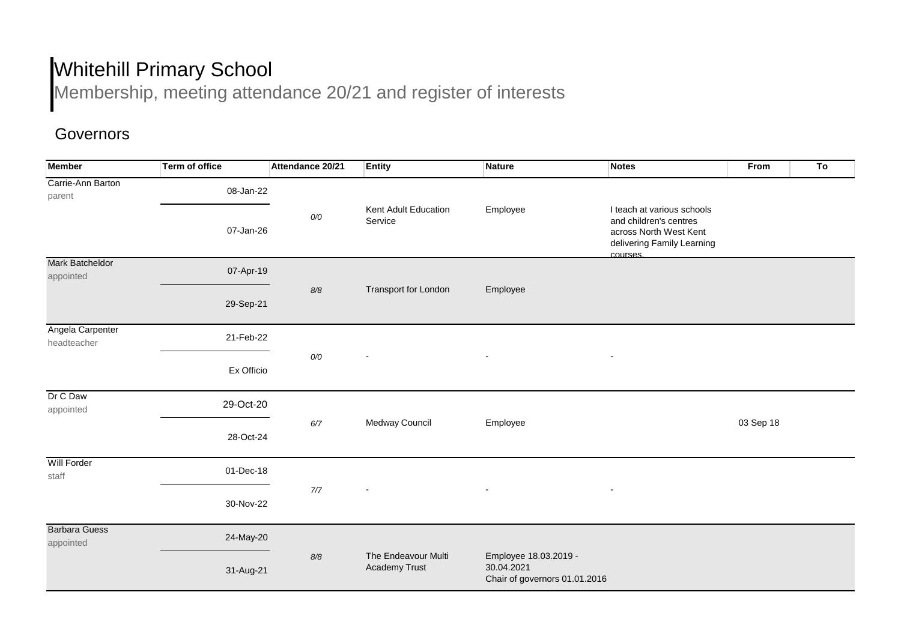## Whitehill Primary School

Membership, meeting attendance 20/21 and register of interests

## Governors

| <b>Member</b>                       | <b>Term of office</b> | Attendance 20/21 | <b>Entity</b>                        | Nature                                                               | <b>Notes</b>                                                                                                             | From      | T <sub>o</sub> |  |
|-------------------------------------|-----------------------|------------------|--------------------------------------|----------------------------------------------------------------------|--------------------------------------------------------------------------------------------------------------------------|-----------|----------------|--|
| Carrie-Ann Barton<br>parent         | 08-Jan-22             |                  |                                      |                                                                      |                                                                                                                          |           |                |  |
|                                     | 07-Jan-26             | O/O              | Kent Adult Education<br>Service      | Employee                                                             | I teach at various schools<br>and children's centres<br>across North West Kent<br>delivering Family Learning<br>courses. |           |                |  |
| <b>Mark Batcheldor</b><br>appointed | 07-Apr-19             | $8/8$            | Transport for London                 | Employee                                                             |                                                                                                                          |           |                |  |
|                                     | 29-Sep-21             |                  |                                      |                                                                      |                                                                                                                          |           |                |  |
| Angela Carpenter<br>headteacher     | 21-Feb-22             | O/O              | $\blacksquare$                       |                                                                      |                                                                                                                          |           |                |  |
|                                     | Ex Officio            |                  |                                      | $\overline{\phantom{a}}$                                             | $\blacksquare$                                                                                                           |           |                |  |
| Dr C Daw<br>appointed               | 29-Oct-20             |                  | Medway Council                       | Employee                                                             |                                                                                                                          |           |                |  |
|                                     | 28-Oct-24             | $6/7$            |                                      |                                                                      |                                                                                                                          | 03 Sep 18 |                |  |
| <b>Will Forder</b><br>staff         | 01-Dec-18             |                  | $\blacksquare$                       | $\overline{\phantom{a}}$                                             |                                                                                                                          |           |                |  |
|                                     | 30-Nov-22             | 7/7              |                                      |                                                                      | $\qquad \qquad \blacksquare$                                                                                             |           |                |  |
| <b>Barbara Guess</b><br>appointed   | 24-May-20             |                  |                                      |                                                                      |                                                                                                                          |           |                |  |
|                                     | 31-Aug-21             | $8/8$            | The Endeavour Multi<br>Academy Trust | Employee 18.03.2019 -<br>30.04.2021<br>Chair of governors 01.01.2016 |                                                                                                                          |           |                |  |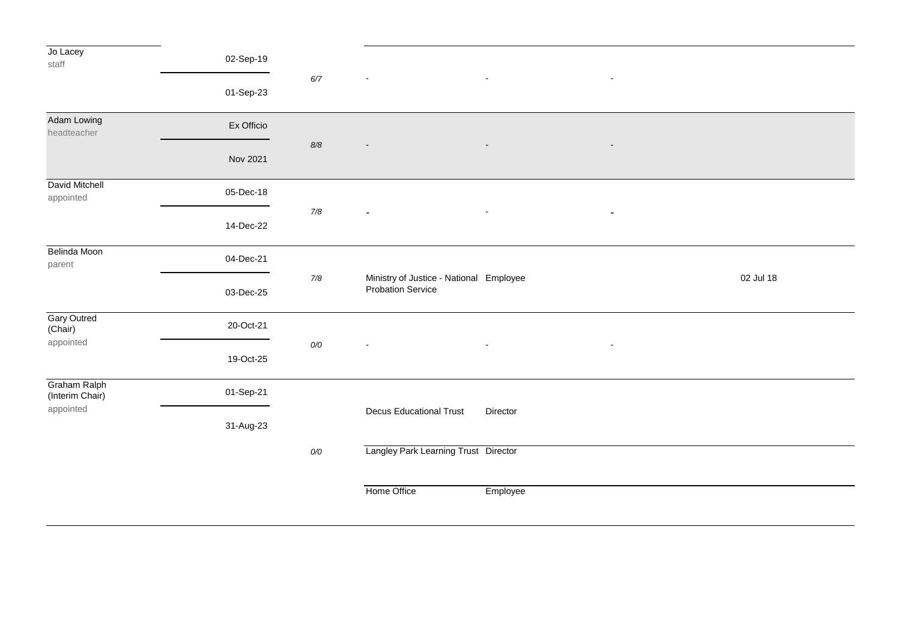| Jo Lacey<br>staff                      | 02-Sep-19  |       |                                                                     |                |                          |           |
|----------------------------------------|------------|-------|---------------------------------------------------------------------|----------------|--------------------------|-----------|
|                                        | 01-Sep-23  | $6/7$ |                                                                     | $\sim$         | $\overline{\phantom{a}}$ |           |
| Adam Lowing<br>headteacher             | Ex Officio |       |                                                                     |                |                          |           |
|                                        | Nov 2021   | $8/8$ |                                                                     |                |                          |           |
| David Mitchell<br>appointed            | 05-Dec-18  |       | $\sim$                                                              | $\blacksquare$ | $\overline{\phantom{a}}$ |           |
|                                        | 14-Dec-22  | $7/8$ |                                                                     |                |                          |           |
| Belinda Moon<br>parent                 | 04-Dec-21  |       | Ministry of Justice - National Employee<br><b>Probation Service</b> |                |                          |           |
|                                        | 03-Dec-25  | $7/8$ |                                                                     |                |                          | 02 Jul 18 |
| <b>Gary Outred</b><br>(Chair)          | 20-Oct-21  | $0/0$ |                                                                     |                |                          |           |
| appointed                              | 19-Oct-25  |       |                                                                     |                |                          |           |
| <b>Graham Ralph</b><br>(Interim Chair) | 01-Sep-21  |       |                                                                     |                |                          |           |
| appointed                              | 31-Aug-23  |       | <b>Decus Educational Trust</b>                                      | Director       |                          |           |
|                                        |            | $0/0$ | Langley Park Learning Trust Director                                |                |                          |           |
|                                        |            |       | Home Office                                                         | Employee       |                          |           |